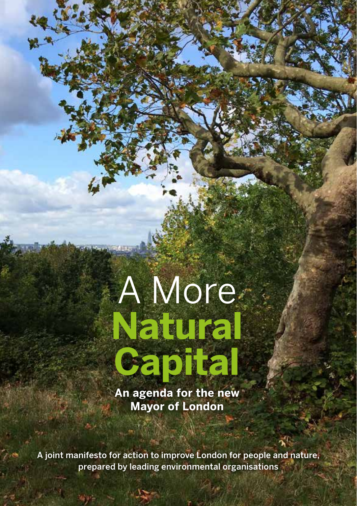# A More **Natural Capital**

**An agenda for the new Mayor of London**

A joint manifesto for action to improve London for people and nature, prepared by leading environmental organisations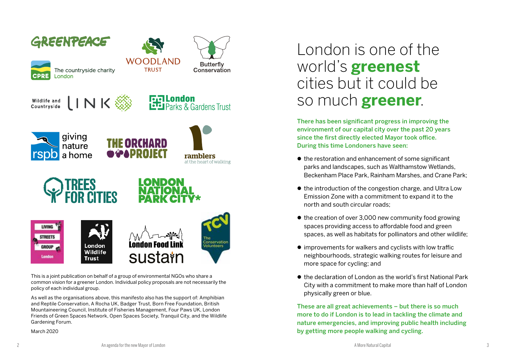

This is a joint publication on behalf of a group of environmental NGOs who share a common vision for a greener London. Individual policy proposals are not necessarily the policy of each individual group.

As well as the organisations above, this manifesto also has the support of: Amphibian and Reptile Conservation, A Rocha UK, Badger Trust, Born Free Foundation, British Mountaineering Council, Institute of Fisheries Management, Four Paws UK, London Friends of Green Spaces Network, Open Spaces Society, Tranquil City, and the Wildlife Gardening Forum.

March 2020

### London is one of the world's **greenest** cities but it could be so much **greener**.

There has been significant progress in improving the environment of our capital city over the past 20 years since the first directly elected Mayor took office. During this time Londoners have seen:

- $\bullet$  the restoration and enhancement of some significant parks and landscapes, such as Walthamstow Wetlands, Beckenham Place Park, Rainham Marshes, and Crane Park;
- $\bullet$  the introduction of the congestion charge, and Ultra Low Emission Zone with a commitment to expand it to the north and south circular roads;
- $\bullet$  the creation of over 3,000 new community food growing spaces providing access to affordable food and green spaces, as well as habitats for pollinators and other wildlife;
- $\bullet$  improvements for walkers and cyclists with low traffic neighbourhoods, strategic walking routes for leisure and more space for cycling; and
- $\bullet$  the declaration of London as the world's first National Park City with a commitment to make more than half of London physically green or blue.

These are all great achievements – but there is so much more to do if London is to lead in tackling the climate and nature emergencies, and improving public health including by getting more people walking and cycling.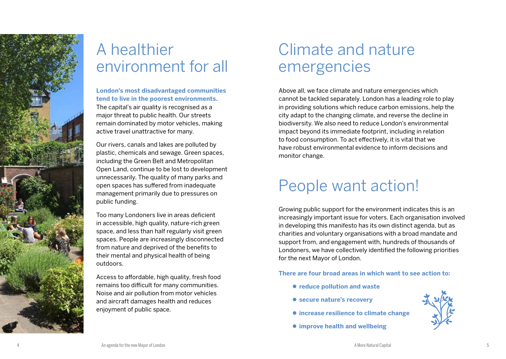

### A healthier environment for all

**London's most disadvantaged communities tend to live in the poorest environments.**  The capital's air quality is recognised as a major threat to public health. Our streets remain dominated by motor vehicles, making active travel unattractive for many.

Our rivers, canals and lakes are polluted by plastic, chemicals and sewage. Green spaces, including the Green Belt and Metropolitan Open Land, continue to be lost to development unnecessarily. The quality of many parks and open spaces has suffered from inadequate management primarily due to pressures on public funding.

Too many Londoners live in areas deficient in accessible, high quality, nature-rich green space, and less than half regularly visit green spaces. People are increasingly disconnected from nature and deprived of the benefits to their mental and physical health of being outdoors.

Access to affordable, high quality, fresh food remains too difficult for many communities. Noise and air pollution from motor vehicles and aircraft damages health and reduces enjoyment of public space.

### Climate and nature emergencies

Above all, we face climate and nature emergencies which cannot be tackled separately. London has a leading role to play in providing solutions which reduce carbon emissions, help the city adapt to the changing climate, and reverse the decline in biodiversity. We also need to reduce London's environmental impact beyond its immediate footprint, including in relation to food consumption. To act effectively, it is vital that we have robust environmental evidence to inform decisions and monitor change.

### People want action!

Growing public support for the environment indicates this is an increasingly important issue for voters. Each organisation involved in developing this manifesto has its own distinct agenda, but as charities and voluntary organisations with a broad mandate and support from, and engagement with, hundreds of thousands of Londoners, we have collectively identified the following priorities for the next Mayor of London.

**There are four broad areas in which want to see action to:** 

- $\bullet$  **reduce pollution and waste**
- $\bullet$  **secure nature's recovery**
- $\bullet$  **increase resilience to climate change**
- $\bullet$  **improve health and wellbeing**

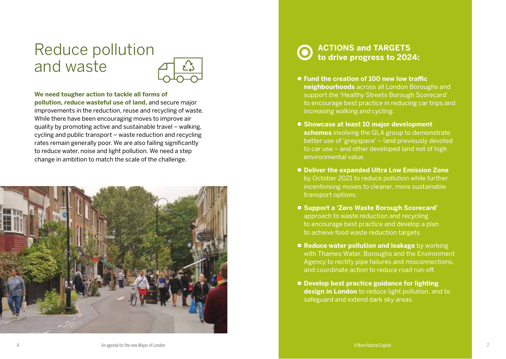### Reduce pollution and waste



#### **We need tougher action to tackle all forms of**

**pollution, reduce wasteful use of land,** and secure major improvements in the reduction, reuse and recycling of waste. While there have been encouraging moves to improve air quality by promoting active and sustainable travel – walking, cycling and public transport – waste reduction and recycling rates remain generally poor. We are also failing significantly to reduce water, noise and light pollution. We need a step change in ambition to match the scale of the challenge.



- **Fund the creation of 100 new low traffic. neighbourhoods** across all London Boroughs and support the 'Healthy Streets Borough Scorecard' to encourage best practice in reducing car trips and increasing walking and cycling.
- **Showcase at least 10 major development schemes** involving the GLA group to demonstrate better use of 'greyspace' – land previously devoted to car use – and other developed land not of high environmental value.
- **Deliver the expanded Ultra Low Emission Zone** by October 2021 to reduce pollution while further incentivising moves to cleaner, more sustainable transport options.
- z **Support a 'Zero Waste Borough Scorecard'**  approach to waste reduction and recycling to encourage best practice and develop a plan to achieve food waste reduction targets.
- **Reduce water pollution and leakage** by working with Thames Water, Boroughs and the Environment Agency to rectify pipe failures and misconnections, and coordinate action to reduce road run-off.
- **Develop best practice guidance for lighting design in London** to reduce light pollution, and to safeguard and extend dark sky areas.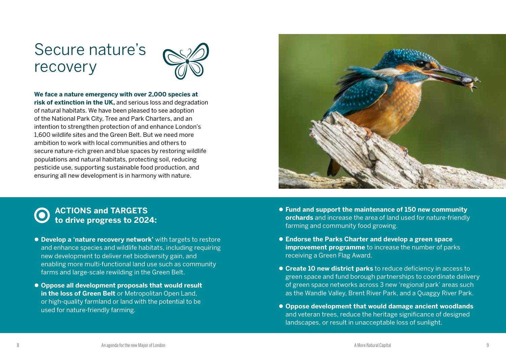### Secure nature's recovery



#### **We face a nature emergency with over 2,000 species at**

**risk of extinction in the UK,** and serious loss and degradation of natural habitats. We have been pleased to see adoption of the National Park City, Tree and Park Charters, and an intention to strengthen protection of and enhance London's 1,600 wildlife sites and the Green Belt. But we need more ambition to work with local communities and others to secure nature-rich green and blue spaces by restoring wildlife populations and natural habitats, protecting soil, reducing pesticide use, supporting sustainable food production, and ensuring all new development is in harmony with nature.



- **Develop a 'nature recovery network'** with targets to restore and enhance species and wildlife habitats, including requiring new development to deliver net biodiversity gain, and enabling more multi-functional land use such as community farms and large-scale rewilding in the Green Belt.
- Oppose all development proposals that would result **in the loss of Green Belt** or Metropolitan Open Land, or high-quality farmland or land with the potential to be used for nature-friendly farming.
- Fund and support the maintenance of 150 new community **orchards** and increase the area of land used for nature-friendly farming and community food growing.
- z **Endorse the Parks Charter and develop a green space improvement programme** to increase the number of parks receiving a Green Flag Award.
- **Create 10 new district parks** to reduce deficiency in access to green space and fund borough partnerships to coordinate delivery of green space networks across 3 new 'regional park' areas such as the Wandle Valley, Brent River Park, and a Quaggy River Park.
- **Oppose development that would damage ancient woodlands** and veteran trees, reduce the heritage significance of designed landscapes, or result in unacceptable loss of sunlight.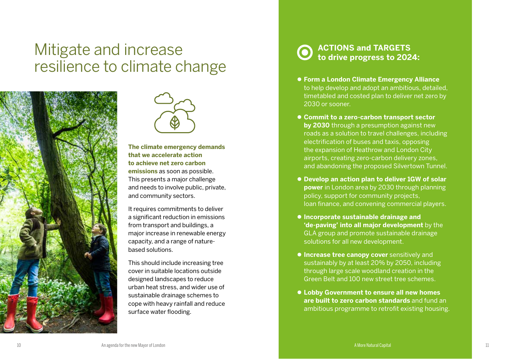### Mitigate and increase resilience to climate change





#### **The climate emergency demands that we accelerate action to achieve net zero carbon emissions** as soon as possible.

This presents a major challenge and needs to involve public, private, and community sectors.

It requires commitments to deliver a significant reduction in emissions from transport and buildings, a major increase in renewable energy capacity, and a range of naturebased solutions.

This should include increasing tree cover in suitable locations outside designed landscapes to reduce urban heat stress, and wider use of sustainable drainage schemes to cope with heavy rainfall and reduce surface water flooding.

- Form a London Climate Emergency Alliance to help develop and adopt an ambitious, detailed, timetabled and costed plan to deliver net zero by 2030 or sooner.
- Commit to a zero-carbon transport sector **by 2030** through a presumption against new roads as a solution to travel challenges, including electrification of buses and taxis, opposing the expansion of Heathrow and London City airports, creating zero-carbon delivery zones, and abandoning the proposed Silvertown Tunnel.
- **Develop an action plan to deliver 1GW of solar power** in London area by 2030 through planning policy, support for community projects, loan finance, and convening commercial players.
- $\bullet$  **Incorporate sustainable drainage and 'de-paving' into all major development** by the GLA group and promote sustainable drainage solutions for all new development.
- **Increase tree canopy cover** sensitively and sustainably by at least 20% by 2050, including through large scale woodland creation in the Green Belt and 100 new street tree schemes.
- z **Lobby Government to ensure all new homes are built to zero carbon standards** and fund an ambitious programme to retrofit existing housing.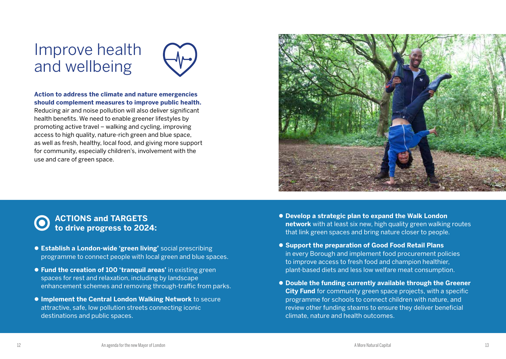### Improve health and wellbeing



#### **Action to address the climate and nature emergencies should complement measures to improve public health.**

Reducing air and noise pollution will also deliver significant health benefits. We need to enable greener lifestyles by promoting active travel – walking and cycling, improving access to high quality, nature-rich green and blue space, as well as fresh, healthy, local food, and giving more support for community, especially children's, involvement with the use and care of green space.



- **Establish a London-wide 'green living'** social prescribing programme to connect people with local green and blue spaces.
- **Fund the creation of 100 'tranquil areas' in existing green** spaces for rest and relaxation, including by landscape enhancement schemes and removing through-traffic from parks.
- **Implement the Central London Walking Network** to secure attractive, safe, low pollution streets connecting iconic destinations and public spaces.
- **Develop a strategic plan to expand the Walk London network** with at least six new, high quality green walking routes that link green spaces and bring nature closer to people.
- **Support the preparation of Good Food Retail Plans** in every Borough and implement food procurement policies to improve access to fresh food and champion healthier, plant-based diets and less low welfare meat consumption.
- **Double the funding currently available through the Greener City Fund** for community green space projects, with a specific programme for schools to connect children with nature, and review other funding steams to ensure they deliver beneficial climate, nature and health outcomes.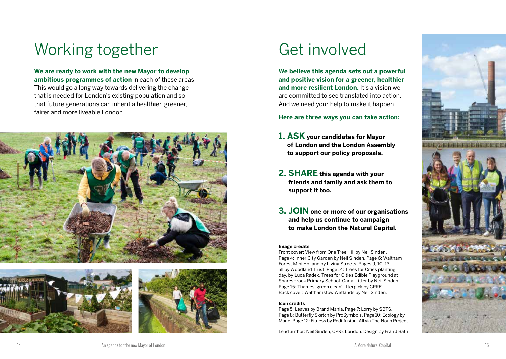## Working together Get involved

**We are ready to work with the new Mayor to develop ambitious programmes of action** in each of these areas. This would go a long way towards delivering the change that is needed for London's existing population and so that future generations can inherit a healthier, greener, fairer and more liveable London.







**We believe this agenda sets out a powerful and positive vision for a greener, healthier and more resilient London.** It's a vision we are committed to see translated into action. And we need your help to make it happen.

**Here are three ways you can take action:**

- **1. ASK your candidates for Mayor of London and the London Assembly to support our policy proposals.**
- **2. SHARE this agenda with your friends and family and ask them to support it too.**
- **3. JOIN one or more of our organisations and help us continue to campaign to make London the Natural Capital.**

#### **Image credits**

Front cover: View from One Tree Hill by Neil Sinden. Page 4: Inner City Garden by Neil Sinden. Page 6: Waltham Forest Mini Holland by Living Streets. Pages 9, 10, 13: all by Woodland Trust. Page 14: Trees for Cities planting day, by Luca Radek. Trees for Cities Edible Playground at Snaresbrook Primary School. Canal Litter by Neil Sinden. Page 15: Thames 'green clean' litterpick by CPRE. Back cover: Walthamstow Wetlands by Neil Sinden.

#### **Icon credits**

Page 5: Leaves by Brand Mania. Page 7: Lorry by SBTS. Page 8: Butterfly Sketch by ProSymbols. Page 10: Ecology by Made. Page 12: Fitness by Rediffusion. All via The Noun Project.

Lead author: Neil Sinden, CPRE London. Design by Fran J Bath.